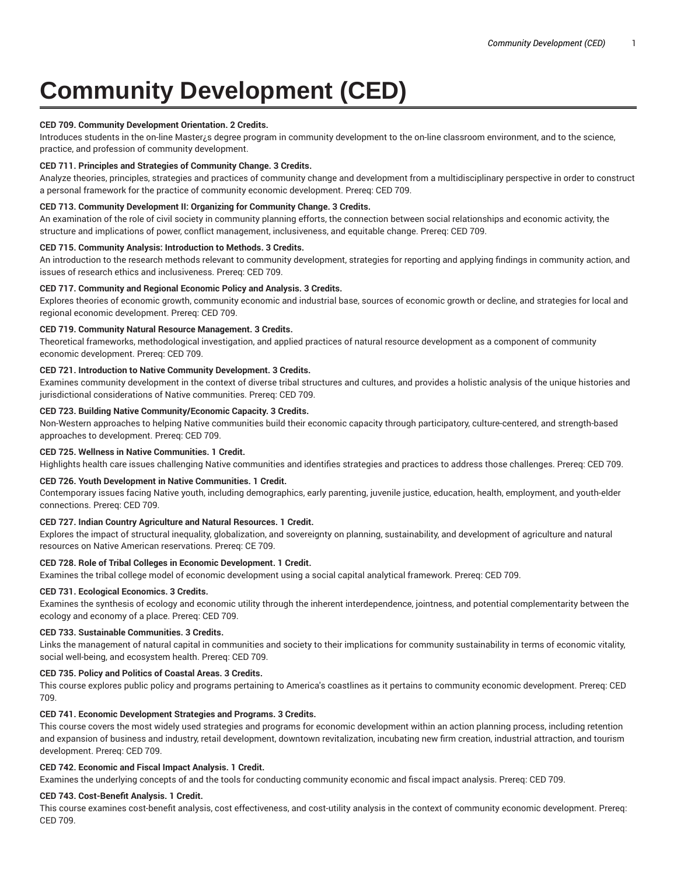# **Community Development (CED)**

## **CED 709. Community Development Orientation. 2 Credits.**

Introduces students in the on-line Master<sub>i</sub>s degree program in community development to the on-line classroom environment, and to the science, practice, and profession of community development.

## **CED 711. Principles and Strategies of Community Change. 3 Credits.**

Analyze theories, principles, strategies and practices of community change and development from a multidisciplinary perspective in order to construct a personal framework for the practice of community economic development. Prereq: CED 709.

#### **CED 713. Community Development II: Organizing for Community Change. 3 Credits.**

An examination of the role of civil society in community planning efforts, the connection between social relationships and economic activity, the structure and implications of power, conflict management, inclusiveness, and equitable change. Prereq: CED 709.

#### **CED 715. Community Analysis: Introduction to Methods. 3 Credits.**

An introduction to the research methods relevant to community development, strategies for reporting and applying findings in community action, and issues of research ethics and inclusiveness. Prereq: CED 709.

#### **CED 717. Community and Regional Economic Policy and Analysis. 3 Credits.**

Explores theories of economic growth, community economic and industrial base, sources of economic growth or decline, and strategies for local and regional economic development. Prereq: CED 709.

#### **CED 719. Community Natural Resource Management. 3 Credits.**

Theoretical frameworks, methodological investigation, and applied practices of natural resource development as a component of community economic development. Prereq: CED 709.

#### **CED 721. Introduction to Native Community Development. 3 Credits.**

Examines community development in the context of diverse tribal structures and cultures, and provides a holistic analysis of the unique histories and jurisdictional considerations of Native communities. Prereq: CED 709.

#### **CED 723. Building Native Community/Economic Capacity. 3 Credits.**

Non-Western approaches to helping Native communities build their economic capacity through participatory, culture-centered, and strength-based approaches to development. Prereq: CED 709.

## **CED 725. Wellness in Native Communities. 1 Credit.**

Highlights health care issues challenging Native communities and identifies strategies and practices to address those challenges. Prereq: CED 709.

## **CED 726. Youth Development in Native Communities. 1 Credit.**

Contemporary issues facing Native youth, including demographics, early parenting, juvenile justice, education, health, employment, and youth-elder connections. Prereq: CED 709.

## **CED 727. Indian Country Agriculture and Natural Resources. 1 Credit.**

Explores the impact of structural inequality, globalization, and sovereignty on planning, sustainability, and development of agriculture and natural resources on Native American reservations. Prereq: CE 709.

## **CED 728. Role of Tribal Colleges in Economic Development. 1 Credit.**

Examines the tribal college model of economic development using a social capital analytical framework. Prereq: CED 709.

## **CED 731. Ecological Economics. 3 Credits.**

Examines the synthesis of ecology and economic utility through the inherent interdependence, jointness, and potential complementarity between the ecology and economy of a place. Prereq: CED 709.

#### **CED 733. Sustainable Communities. 3 Credits.**

Links the management of natural capital in communities and society to their implications for community sustainability in terms of economic vitality, social well-being, and ecosystem health. Prereq: CED 709.

#### **CED 735. Policy and Politics of Coastal Areas. 3 Credits.**

This course explores public policy and programs pertaining to America's coastlines as it pertains to community economic development. Prereq: CED 709.

## **CED 741. Economic Development Strategies and Programs. 3 Credits.**

This course covers the most widely used strategies and programs for economic development within an action planning process, including retention and expansion of business and industry, retail development, downtown revitalization, incubating new firm creation, industrial attraction, and tourism development. Prereq: CED 709.

# **CED 742. Economic and Fiscal Impact Analysis. 1 Credit.**

Examines the underlying concepts of and the tools for conducting community economic and fiscal impact analysis. Prereq: CED 709.

#### **CED 743. Cost-Benefit Analysis. 1 Credit.**

This course examines cost-benefit analysis, cost effectiveness, and cost-utility analysis in the context of community economic development. Prereq: CED 709.